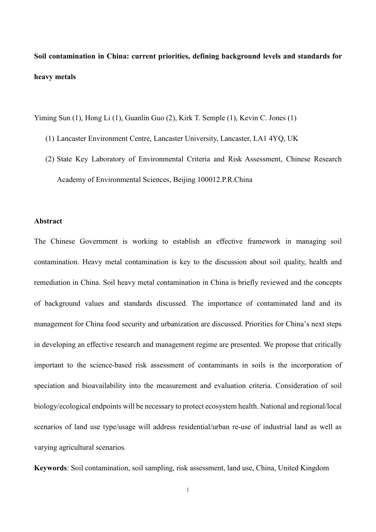**Soil contamination in China: current priorities, defining background levels and standards for heavy metals**

Yiming Sun (1), Hong Li (1), Guanlin Guo (2), Kirk T. Semple (1), Kevin C. Jones (1)

- (1) Lancaster Environment Centre, Lancaster University, Lancaster, LA1 4YQ, UK
- (2) State Key Laboratory of Environmental Criteria and Risk Assessment, Chinese Research Academy of Environmental Sciences, Beijing 100012.P.R.China

# **Abstract**

The Chinese Government is working to establish an effective framework in managing soil contamination. Heavy metal contamination is key to the discussion about soil quality, health and remediation in China. Soil heavy metal contamination in China is briefly reviewed and the concepts of background values and standards discussed. The importance of contaminated land and its management for China food security and urbanization are discussed. Priorities for China's next steps in developing an effective research and management regime are presented. We propose that critically important to the science-based risk assessment of contaminants in soils is the incorporation of speciation and bioavailability into the measurement and evaluation criteria. Consideration of soil biology/ecological endpoints will be necessary to protect ecosystem health. National and regional/local scenarios of land use type/usage will address residential/urban re-use of industrial land as well as varying agricultural scenarios.

**Keywords**: Soil contamination, soil sampling, risk assessment, land use, China, United Kingdom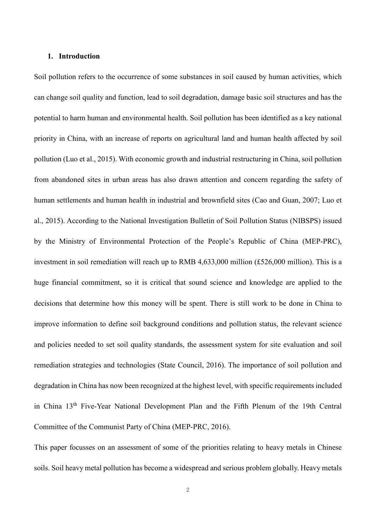### **1. Introduction**

Soil pollution refers to the occurrence of some substances in soil caused by human activities, which can change soil quality and function, lead to soil degradation, damage basic soil structures and has the potential to harm human and environmental health. Soil pollution has been identified as a key national priority in China, with an increase of reports on agricultural land and human health affected by soil pollution (Luo et al., 2015). With economic growth and industrial restructuring in China, soil pollution from abandoned sites in urban areas has also drawn attention and concern regarding the safety of human settlements and human health in industrial and brownfield sites (Cao and Guan, 2007; Luo et al., 2015). According to the National Investigation Bulletin of Soil Pollution Status (NIBSPS) issued by the Ministry of Environmental Protection of the People's Republic of China (MEP-PRC), investment in soil remediation will reach up to RMB 4,633,000 million (£526,000 million). This is a huge financial commitment, so it is critical that sound science and knowledge are applied to the decisions that determine how this money will be spent. There is still work to be done in China to improve information to define soil background conditions and pollution status, the relevant science and policies needed to set soil quality standards, the assessment system for site evaluation and soil remediation strategies and technologies (State Council, 2016). The importance of soil pollution and degradation in China has now been recognized at the highest level, with specific requirements included in China 13th Five-Year National Development Plan and the Fifth Plenum of the 19th Central Committee of the Communist Party of China (MEP-PRC, 2016).

This paper focusses on an assessment of some of the priorities relating to heavy metals in Chinese soils. Soil heavy metal pollution has become a widespread and serious problem globally. Heavy metals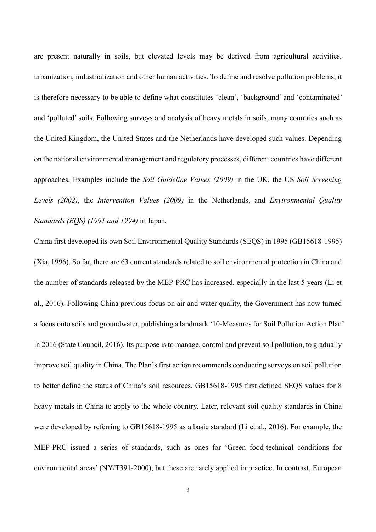are present naturally in soils, but elevated levels may be derived from agricultural activities, urbanization, industrialization and other human activities. To define and resolve pollution problems, it is therefore necessary to be able to define what constitutes 'clean', 'background' and 'contaminated' and 'polluted' soils. Following surveys and analysis of heavy metals in soils, many countries such as the United Kingdom, the United States and the Netherlands have developed such values. Depending on the national environmental management and regulatory processes, different countries have different approaches. Examples include the *Soil Guideline Values (2009)* in the UK, the US *Soil Screening Levels (2002)*, the *Intervention Values (2009)* in the Netherlands, and *Environmental Quality Standards (EQS) (1991 and 1994)* in Japan.

China first developed its own Soil Environmental Quality Standards (SEQS) in 1995 (GB15618-1995) (Xia, 1996). So far, there are 63 current standards related to soil environmental protection in China and the number of standards released by the MEP-PRC has increased, especially in the last 5 years (Li et al., 2016). Following China previous focus on air and water quality, the Government has now turned a focus onto soils and groundwater, publishing a landmark '10-Measures for Soil Pollution Action Plan' in 2016 (State Council, 2016). Its purpose is to manage, control and prevent soil pollution, to gradually improve soil quality in China. The Plan's first action recommends conducting surveys on soil pollution to better define the status of China's soil resources. GB15618-1995 first defined SEQS values for 8 heavy metals in China to apply to the whole country. Later, relevant soil quality standards in China were developed by referring to GB15618-1995 as a basic standard (Li et al., 2016). For example, the MEP-PRC issued a series of standards, such as ones for 'Green food-technical conditions for environmental areas' (NY/T391-2000), but these are rarely applied in practice. In contrast, European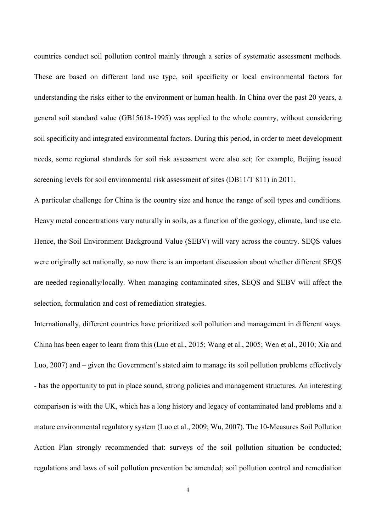countries conduct soil pollution control mainly through a series of systematic assessment methods. These are based on different land use type, soil specificity or local environmental factors for understanding the risks either to the environment or human health. In China over the past 20 years, a general soil standard value (GB15618-1995) was applied to the whole country, without considering soil specificity and integrated environmental factors. During this period, in order to meet development needs, some regional standards for soil risk assessment were also set; for example, Beijing issued screening levels for soil environmental risk assessment of sites (DB11/T 811) in 2011.

A particular challenge for China is the country size and hence the range of soil types and conditions. Heavy metal concentrations vary naturally in soils, as a function of the geology, climate, land use etc. Hence, the Soil Environment Background Value (SEBV) will vary across the country. SEQS values were originally set nationally, so now there is an important discussion about whether different SEQS are needed regionally/locally. When managing contaminated sites, SEQS and SEBV will affect the selection, formulation and cost of remediation strategies.

Internationally, different countries have prioritized soil pollution and management in different ways. China has been eager to learn from this (Luo et al., 2015; Wang et al., 2005; Wen et al., 2010; Xia and Luo, 2007) and – given the Government's stated aim to manage its soil pollution problems effectively - has the opportunity to put in place sound, strong policies and management structures. An interesting comparison is with the UK, which has a long history and legacy of contaminated land problems and a mature environmental regulatory system (Luo et al., 2009; Wu, 2007). The 10-Measures Soil Pollution Action Plan strongly recommended that: surveys of the soil pollution situation be conducted; regulations and laws of soil pollution prevention be amended; soil pollution control and remediation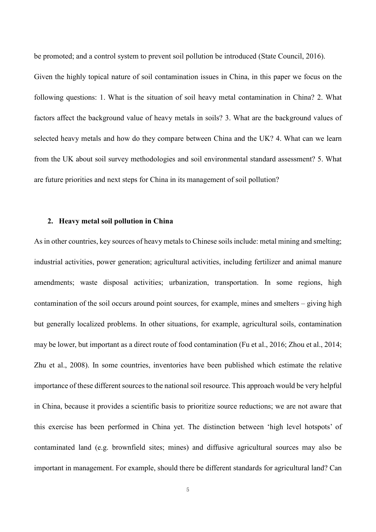be promoted; and a control system to prevent soil pollution be introduced (State Council, 2016).

Given the highly topical nature of soil contamination issues in China, in this paper we focus on the following questions: 1. What is the situation of soil heavy metal contamination in China? 2. What factors affect the background value of heavy metals in soils? 3. What are the background values of selected heavy metals and how do they compare between China and the UK? 4. What can we learn from the UK about soil survey methodologies and soil environmental standard assessment? 5. What are future priorities and next steps for China in its management of soil pollution?

# **2. Heavy metal soil pollution in China**

As in other countries, key sources of heavy metals to Chinese soils include: metal mining and smelting; industrial activities, power generation; agricultural activities, including fertilizer and animal manure amendments; waste disposal activities; urbanization, transportation. In some regions, high contamination of the soil occurs around point sources, for example, mines and smelters – giving high but generally localized problems. In other situations, for example, agricultural soils, contamination may be lower, but important as a direct route of food contamination (Fu et al., 2016; Zhou et al., 2014; Zhu et al., 2008). In some countries, inventories have been published which estimate the relative importance of these different sources to the national soil resource. This approach would be very helpful in China, because it provides a scientific basis to prioritize source reductions; we are not aware that this exercise has been performed in China yet. The distinction between 'high level hotspots' of contaminated land (e.g. brownfield sites; mines) and diffusive agricultural sources may also be important in management. For example, should there be different standards for agricultural land? Can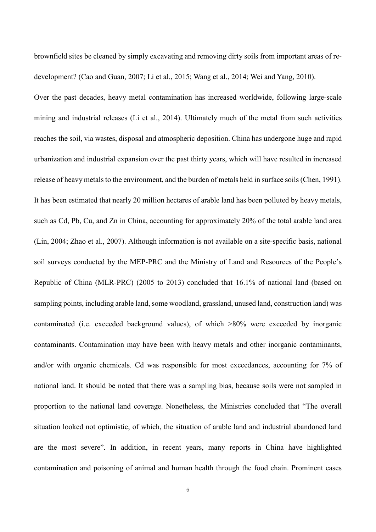brownfield sites be cleaned by simply excavating and removing dirty soils from important areas of redevelopment? (Cao and Guan, 2007; Li et al., 2015; Wang et al., 2014; Wei and Yang, 2010).

Over the past decades, heavy metal contamination has increased worldwide, following large-scale mining and industrial releases (Li et al., 2014). Ultimately much of the metal from such activities reaches the soil, via wastes, disposal and atmospheric deposition. China has undergone huge and rapid urbanization and industrial expansion over the past thirty years, which will have resulted in increased release of heavy metals to the environment, and the burden of metals held in surface soils (Chen, 1991). It has been estimated that nearly 20 million hectares of arable land has been polluted by heavy metals, such as Cd, Pb, Cu, and Zn in China, accounting for approximately 20% of the total arable land area (Lin, 2004; Zhao et al., 2007). Although information is not available on a site-specific basis, national soil surveys conducted by the MEP-PRC and the Ministry of Land and Resources of the People's Republic of China (MLR-PRC) (2005 to 2013) concluded that 16.1% of national land (based on sampling points, including arable land, some woodland, grassland, unused land, construction land) was contaminated (i.e. exceeded background values), of which >80% were exceeded by inorganic contaminants. Contamination may have been with heavy metals and other inorganic contaminants, and/or with organic chemicals. Cd was responsible for most exceedances, accounting for 7% of national land. It should be noted that there was a sampling bias, because soils were not sampled in proportion to the national land coverage. Nonetheless, the Ministries concluded that "The overall situation looked not optimistic, of which, the situation of arable land and industrial abandoned land are the most severe". In addition, in recent years, many reports in China have highlighted contamination and poisoning of animal and human health through the food chain. Prominent cases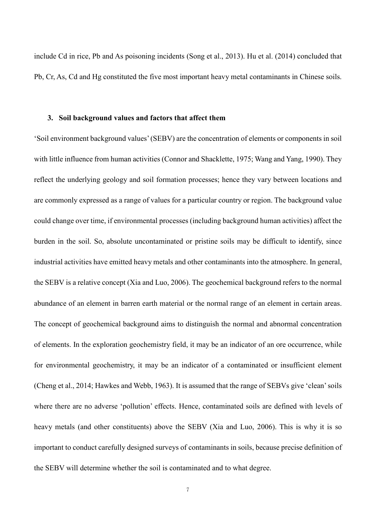include Cd in rice, Pb and As poisoning incidents (Song et al., 2013). Hu et al. (2014) concluded that Pb, Cr, As, Cd and Hg constituted the five most important heavy metal contaminants in Chinese soils.

### **3. Soil background values and factors that affect them**

'Soil environment background values' (SEBV) are the concentration of elements or components in soil with little influence from human activities (Connor and Shacklette, 1975; Wang and Yang, 1990). They reflect the underlying geology and soil formation processes; hence they vary between locations and are commonly expressed as a range of values for a particular country or region. The background value could change over time, if environmental processes (including background human activities) affect the burden in the soil. So, absolute uncontaminated or pristine soils may be difficult to identify, since industrial activities have emitted heavy metals and other contaminants into the atmosphere. In general, the SEBV is a relative concept (Xia and Luo, 2006). The geochemical background refers to the normal abundance of an element in barren earth material or the normal range of an element in certain areas. The concept of geochemical background aims to distinguish the normal and abnormal concentration of elements. In the exploration geochemistry field, it may be an indicator of an ore occurrence, while for environmental geochemistry, it may be an indicator of a contaminated or insufficient element (Cheng et al., 2014; Hawkes and Webb, 1963). It is assumed that the range of SEBVs give 'clean' soils where there are no adverse 'pollution' effects. Hence, contaminated soils are defined with levels of heavy metals (and other constituents) above the SEBV (Xia and Luo, 2006). This is why it is so important to conduct carefully designed surveys of contaminants in soils, because precise definition of the SEBV will determine whether the soil is contaminated and to what degree.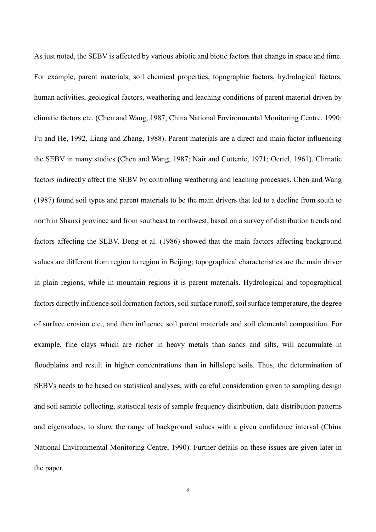As just noted, the SEBV is affected by various abiotic and biotic factors that change in space and time. For example, parent materials, soil chemical properties, topographic factors, hydrological factors, human activities, geological factors, weathering and leaching conditions of parent material driven by climatic factors etc. (Chen and Wang, 1987; China National Environmental Monitoring Centre, 1990; Fu and He, 1992, Liang and Zhang, 1988). Parent materials are a direct and main factor influencing the SEBV in many studies (Chen and Wang, 1987; Nair and Cottenie, 1971; Oertel, 1961). Climatic factors indirectly affect the SEBV by controlling weathering and leaching processes. Chen and Wang (1987) found soil types and parent materials to be the main drivers that led to a decline from south to north in Shanxi province and from southeast to northwest, based on a survey of distribution trends and factors affecting the SEBV. Deng et al. (1986) showed that the main factors affecting background values are different from region to region in Beijing; topographical characteristics are the main driver in plain regions, while in mountain regions it is parent materials. Hydrological and topographical factors directly influence soil formation factors, soil surface runoff, soil surface temperature, the degree of surface erosion etc., and then influence soil parent materials and soil elemental composition. For example, fine clays which are richer in heavy metals than sands and silts, will accumulate in floodplains and result in higher concentrations than in hillslope soils. Thus, the determination of SEBVs needs to be based on statistical analyses, with careful consideration given to sampling design and soil sample collecting, statistical tests of sample frequency distribution, data distribution patterns and eigenvalues, to show the range of background values with a given confidence interval (China National Environmental Monitoring Centre, 1990). Further details on these issues are given later in the paper.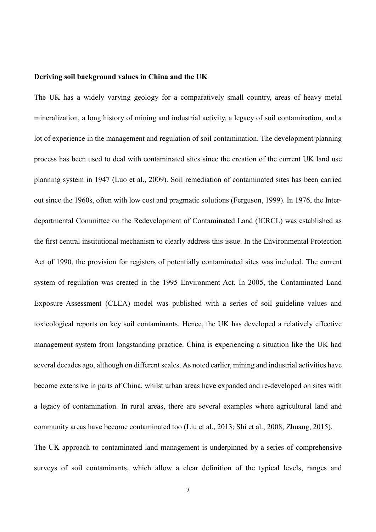#### **Deriving soil background values in China and the UK**

The UK has a widely varying geology for a comparatively small country, areas of heavy metal mineralization, a long history of mining and industrial activity, a legacy of soil contamination, and a lot of experience in the management and regulation of soil contamination. The development planning process has been used to deal with contaminated sites since the creation of the current UK land use planning system in 1947 (Luo et al., 2009). Soil remediation of contaminated sites has been carried out since the 1960s, often with low cost and pragmatic solutions (Ferguson, 1999). In 1976, the Interdepartmental Committee on the Redevelopment of Contaminated Land (ICRCL) was established as the first central institutional mechanism to clearly address this issue. In the Environmental Protection Act of 1990, the provision for registers of potentially contaminated sites was included. The current system of regulation was created in the 1995 Environment Act. In 2005, the Contaminated Land Exposure Assessment (CLEA) model was published with a series of soil guideline values and toxicological reports on key soil contaminants. Hence, the UK has developed a relatively effective management system from longstanding practice. China is experiencing a situation like the UK had several decades ago, although on different scales. As noted earlier, mining and industrial activities have become extensive in parts of China, whilst urban areas have expanded and re-developed on sites with a legacy of contamination. In rural areas, there are several examples where agricultural land and community areas have become contaminated too (Liu et al., 2013; Shi et al., 2008; Zhuang, 2015). The UK approach to contaminated land management is underpinned by a series of comprehensive surveys of soil contaminants, which allow a clear definition of the typical levels, ranges and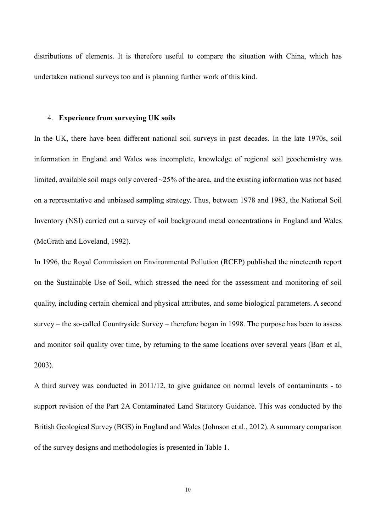distributions of elements. It is therefore useful to compare the situation with China, which has undertaken national surveys too and is planning further work of this kind.

#### 4. **Experience from surveying UK soils**

In the UK, there have been different national soil surveys in past decades. In the late 1970s, soil information in England and Wales was incomplete, knowledge of regional soil geochemistry was limited, available soil maps only covered  $\sim$ 25% of the area, and the existing information was not based on a representative and unbiased sampling strategy. Thus, between 1978 and 1983, the National Soil Inventory (NSI) carried out a survey of soil background metal concentrations in England and Wales (McGrath and Loveland, 1992).

In 1996, the Royal Commission on Environmental Pollution (RCEP) published the nineteenth report on the Sustainable Use of Soil, which stressed the need for the assessment and monitoring of soil quality, including certain chemical and physical attributes, and some biological parameters. A second survey – the so-called Countryside Survey – therefore began in 1998. The purpose has been to assess and monitor soil quality over time, by returning to the same locations over several years (Barr et al, 2003).

A third survey was conducted in 2011/12, to give guidance on normal levels of contaminants - to support revision of the Part 2A Contaminated Land Statutory Guidance. This was conducted by the British Geological Survey (BGS) in England and Wales (Johnson et al., 2012). A summary comparison of the survey designs and methodologies is presented in Table 1.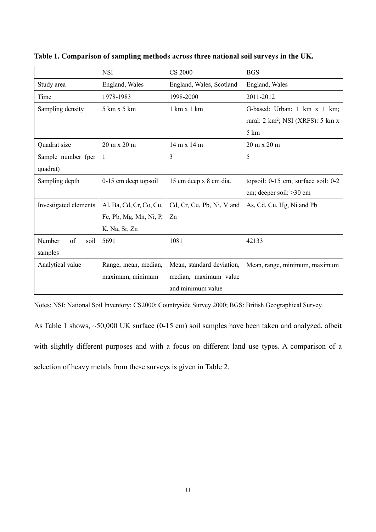|                       | <b>NSI</b>                         | <b>CS 2000</b>                     | <b>BGS</b>                                             |
|-----------------------|------------------------------------|------------------------------------|--------------------------------------------------------|
| Study area            | England, Wales                     | England, Wales, Scotland           | England, Wales                                         |
| Time                  | 1978-1983                          | 1998-2000                          | 2011-2012                                              |
| Sampling density      | 5 km x 5 km                        | $1 \text{ km} \times 1 \text{ km}$ | G-based: Urban: 1 km x 1 km;                           |
|                       |                                    |                                    | rural: $2 \text{ km}^2$ ; NSI (XRFS): $5 \text{ km} x$ |
|                       |                                    |                                    | $5 \mathrm{km}$                                        |
| Quadrat size          | $20 \text{ m} \times 20 \text{ m}$ | $14 \text{ m} \times 14 \text{ m}$ | $20 \text{ m} \times 20 \text{ m}$                     |
| Sample number (per    | $\mathbf{1}$                       | 3                                  | 5                                                      |
| quadrat)              |                                    |                                    |                                                        |
| Sampling depth        | 0-15 cm deep topsoil               | 15 cm deep x 8 cm dia.             | topsoil: 0-15 cm; surface soil: 0-2                    |
|                       |                                    |                                    | cm; deeper soil: > 30 cm                               |
| Investigated elements | Al, Ba, Cd, Cr, Co, Cu,            | Cd, Cr, Cu, Pb, Ni, V and          | As, Cd, Cu, Hg, Ni and Pb                              |
|                       | Fe, Pb, Mg, Mn, Ni, P,             | Zn                                 |                                                        |
|                       | K, Na, Sr, Zn                      |                                    |                                                        |
| of<br>Number<br>soil  | 5691                               | 1081                               | 42133                                                  |
| samples               |                                    |                                    |                                                        |
| Analytical value      | Range, mean, median,               | Mean, standard deviation,          | Mean, range, minimum, maximum                          |
|                       | maximum, minimum                   | median, maximum value              |                                                        |
|                       |                                    | and minimum value                  |                                                        |

**Table 1. Comparison of sampling methods across three national soil surveys in the UK.**

Notes: NSI: National Soil Inventory; CS2000: Countryside Survey 2000; BGS: British Geographical Survey.

As Table 1 shows, ~50,000 UK surface (0-15 cm) soil samples have been taken and analyzed, albeit with slightly different purposes and with a focus on different land use types. A comparison of a selection of heavy metals from these surveys is given in Table 2.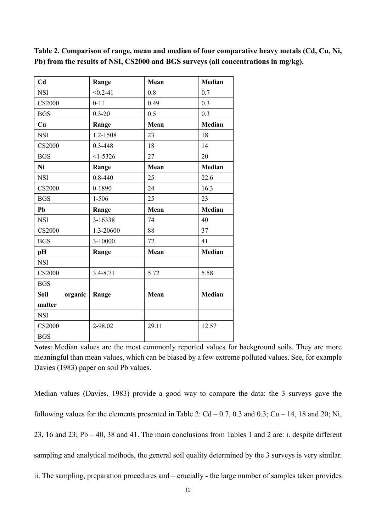| C <sub>d</sub>  | Range        | Mean  | Median        |
|-----------------|--------------|-------|---------------|
| <b>NSI</b>      | $< 0.2 - 41$ | 0.8   | 0.7           |
| <b>CS2000</b>   | $0 - 11$     | 0.49  | 0.3           |
| <b>BGS</b>      | $0.3 - 20$   | 0.5   | 0.3           |
| Cu              | Range        | Mean  | <b>Median</b> |
| <b>NSI</b>      | 1.2-1508     | 23    | 18            |
| <b>CS2000</b>   | $0.3 - 448$  | 18    | 14            |
| <b>BGS</b>      | $<1-5326$    | 27    | 20            |
| Ni              | Range        | Mean  | Median        |
| <b>NSI</b>      | $0.8 - 440$  | 25    | 22.6          |
| <b>CS2000</b>   | 0-1890       | 24    | 16.3          |
| <b>BGS</b>      | $1 - 506$    | 25    | 23            |
| Pb              | Range        | Mean  | <b>Median</b> |
| <b>NSI</b>      | 3-16338      | 74    | 40            |
| CS2000          | 1.3-20600    | 88    | 37            |
| <b>BGS</b>      | 3-10000      | 72    | 41            |
| pH              | Range        | Mean  | <b>Median</b> |
| <b>NSI</b>      |              |       |               |
| <b>CS2000</b>   | 3.4-8.71     | 5.72  | 5.58          |
| <b>BGS</b>      |              |       |               |
| Soil<br>organic | Range        | Mean  | <b>Median</b> |
| matter          |              |       |               |
| <b>NSI</b>      |              |       |               |
| <b>CS2000</b>   | 2-98.02      | 29.11 | 12.57         |
| <b>BGS</b>      |              |       |               |

**Table 2. Comparison of range, mean and median of four comparative heavy metals (Cd, Cu, Ni, Pb) from the results of NSI, CS2000 and BGS surveys (all concentrations in mg/kg).**

**Notes:** Median values are the most commonly reported values for background soils. They are more meaningful than mean values, which can be biased by a few extreme polluted values. See, for example Davies (1983) paper on soil Pb values.

Median values (Davies, 1983) provide a good way to compare the data: the 3 surveys gave the following values for the elements presented in Table 2:  $Cd - 0.7$ , 0.3 and 0.3;  $Cu - 14$ , 18 and 20; Ni, 23, 16 and 23; Pb – 40, 38 and 41. The main conclusions from Tables 1 and 2 are: i. despite different sampling and analytical methods, the general soil quality determined by the 3 surveys is very similar. ii. The sampling, preparation procedures and – crucially - the large number of samples taken provides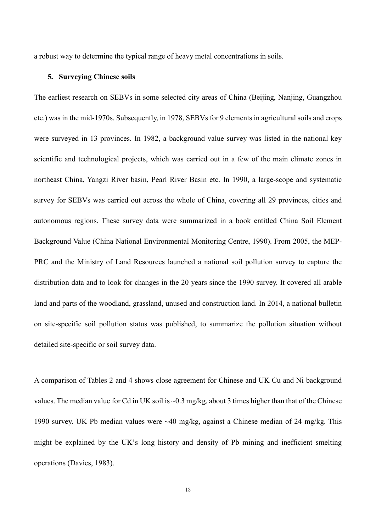a robust way to determine the typical range of heavy metal concentrations in soils.

#### **5. Surveying Chinese soils**

The earliest research on SEBVs in some selected city areas of China (Beijing, Nanjing, Guangzhou etc.) was in the mid-1970s. Subsequently, in 1978, SEBVs for 9 elements in agricultural soils and crops were surveyed in 13 provinces. In 1982, a background value survey was listed in the national key scientific and technological projects, which was carried out in a few of the main climate zones in northeast China, Yangzi River basin, Pearl River Basin etc. In 1990, a large-scope and systematic survey for SEBVs was carried out across the whole of China, covering all 29 provinces, cities and autonomous regions. These survey data were summarized in a book entitled China Soil Element Background Value (China National Environmental Monitoring Centre, 1990). From 2005, the MEP-PRC and the Ministry of Land Resources launched a national soil pollution survey to capture the distribution data and to look for changes in the 20 years since the 1990 survey. It covered all arable land and parts of the woodland, grassland, unused and construction land. In 2014, a national bulletin on site-specific soil pollution status was published, to summarize the pollution situation without detailed site-specific or soil survey data.

A comparison of Tables 2 and 4 shows close agreement for Chinese and UK Cu and Ni background values. The median value for Cd in UK soil is ~0.3 mg/kg, about 3 times higher than that of the Chinese 1990 survey. UK Pb median values were ~40 mg/kg, against a Chinese median of 24 mg/kg. This might be explained by the UK's long history and density of Pb mining and inefficient smelting operations (Davies, 1983).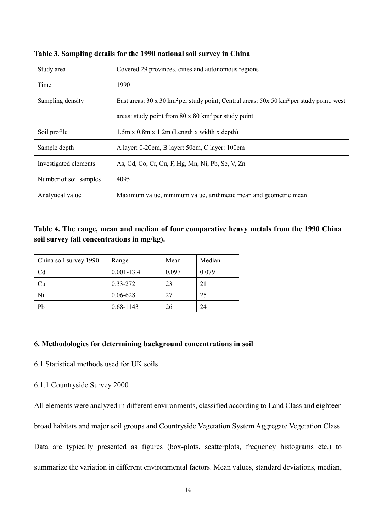| Study area             | Covered 29 provinces, cities and autonomous regions                                                                       |
|------------------------|---------------------------------------------------------------------------------------------------------------------------|
| Time                   | 1990                                                                                                                      |
| Sampling density       | East areas: $30 \times 30 \text{ km}^2$ per study point; Central areas: $50 \times 50 \text{ km}^2$ per study point; west |
|                        | areas: study point from $80 \times 80$ km <sup>2</sup> per study point                                                    |
| Soil profile           | $1.5m \times 0.8m \times 1.2m$ (Length x width x depth)                                                                   |
| Sample depth           | A layer: 0-20cm, B layer: 50cm, C layer: 100cm                                                                            |
| Investigated elements  | As, Cd, Co, Cr, Cu, F, Hg, Mn, Ni, Pb, Se, V, Zn                                                                          |
| Number of soil samples | 4095                                                                                                                      |
| Analytical value       | Maximum value, minimum value, arithmetic mean and geometric mean                                                          |

**Table 3. Sampling details for the 1990 national soil survey in China**

**Table 4. The range, mean and median of four comparative heavy metals from the 1990 China soil survey (all concentrations in mg/kg).**

| China soil survey 1990 | Range          | Mean  | Median |  |
|------------------------|----------------|-------|--------|--|
| C <sub>d</sub>         | $0.001 - 13.4$ | 0.097 | 0.079  |  |
| Ċu                     | 0.33-272       | 23    | 21     |  |
| Ni                     | 0.06-628       | 27    | 25     |  |
| Pb                     | $0.68 - 1143$  | 26    | 24     |  |

### **6. Methodologies for determining background concentrations in soil**

- 6.1 Statistical methods used for UK soils
- 6.1.1 Countryside Survey 2000

All elements were analyzed in different environments, classified according to Land Class and eighteen broad habitats and major soil groups and Countryside Vegetation System Aggregate Vegetation Class. Data are typically presented as figures (box-plots, scatterplots, frequency histograms etc.) to summarize the variation in different environmental factors. Mean values, standard deviations, median,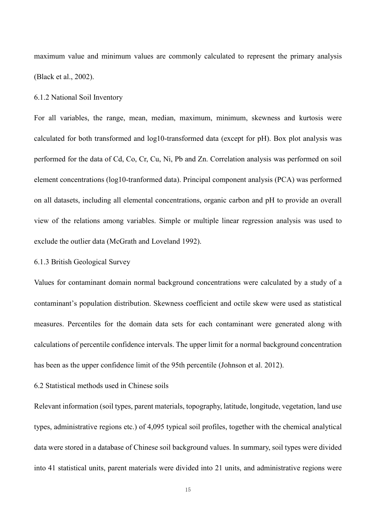maximum value and minimum values are commonly calculated to represent the primary analysis (Black et al., 2002).

### 6.1.2 National Soil Inventory

For all variables, the range, mean, median, maximum, minimum, skewness and kurtosis were calculated for both transformed and log10-transformed data (except for pH). Box plot analysis was performed for the data of Cd, Co, Cr, Cu, Ni, Pb and Zn. Correlation analysis was performed on soil element concentrations (log10-tranformed data). Principal component analysis (PCA) was performed on all datasets, including all elemental concentrations, organic carbon and pH to provide an overall view of the relations among variables. Simple or multiple linear regression analysis was used to exclude the outlier data (McGrath and Loveland 1992).

### 6.1.3 British Geological Survey

Values for contaminant domain normal background concentrations were calculated by a study of a contaminant's population distribution. Skewness coefficient and octile skew were used as statistical measures. Percentiles for the domain data sets for each contaminant were generated along with calculations of percentile confidence intervals. The upper limit for a normal background concentration has been as the upper confidence limit of the 95th percentile (Johnson et al. 2012).

# 6.2 Statistical methods used in Chinese soils

Relevant information (soil types, parent materials, topography, latitude, longitude, vegetation, land use types, administrative regions etc.) of 4,095 typical soil profiles, together with the chemical analytical data were stored in a database of Chinese soil background values. In summary, soil types were divided into 41 statistical units, parent materials were divided into 21 units, and administrative regions were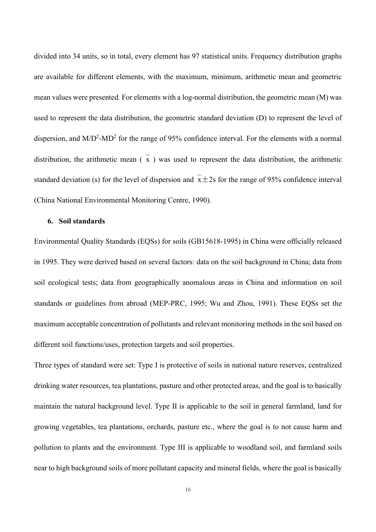divided into 34 units, so in total, every element has 97 statistical units. Frequency distribution graphs are available for different elements, with the maximum, minimum, arithmetic mean and geometric mean values were presented. For elements with a log-normal distribution, the geometric mean (M) was used to represent the data distribution, the geometric standard deviation (D) to represent the level of dispersion, and  $M/D^2-MD^2$  for the range of 95% confidence interval. For the elements with a normal distribution, the arithmetic mean  $\overline{(\overline{x})}$  was used to represent the data distribution, the arithmetic standard deviation (s) for the level of dispersion and  $x \pm 2s$  for the range of 95% confidence interval (China National Environmental Monitoring Centre, 1990).

## **6. Soil standards**

Environmental Quality Standards (EQSs) for soils (GB15618-1995) in China were officially released in 1995. They were derived based on several factors: data on the soil background in China; data from soil ecological tests; data from geographically anomalous areas in China and information on soil standards or guidelines from abroad (MEP-PRC, 1995; Wu and Zhou, 1991). These EQSs set the maximum acceptable concentration of pollutants and relevant monitoring methods in the soil based on different soil functions/uses, protection targets and soil properties.

Three types of standard were set: Type I is protective of soils in national nature reserves, centralized drinking water resources, tea plantations, pasture and other protected areas, and the goal is to basically maintain the natural background level. Type II is applicable to the soil in general farmland, land for growing vegetables, tea plantations, orchards, pasture etc., where the goal is to not cause harm and pollution to plants and the environment. Type III is applicable to woodland soil, and farmland soils near to high background soils of more pollutant capacity and mineral fields, where the goal is basically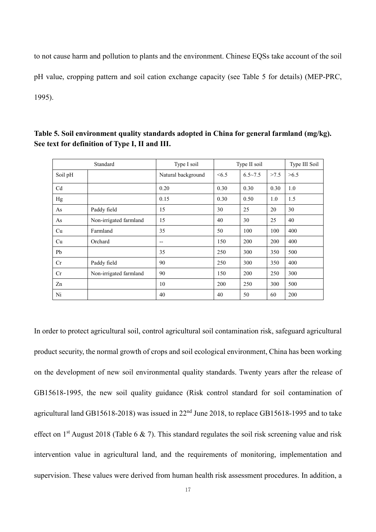to not cause harm and pollution to plants and the environment. Chinese EQSs take account of the soil pH value, cropping pattern and soil cation exchange capacity (see Table 5 for details) (MEP-PRC, 1995).

| Standard       |                        | Type I soil        | Type II soil |             | Type III Soil |      |
|----------------|------------------------|--------------------|--------------|-------------|---------------|------|
| Soil pH        |                        | Natural background | <6.5         | $6.5 - 7.5$ | >7.5          | >6.5 |
| C <sub>d</sub> |                        | 0.20               | 0.30         | 0.30        | 0.30          | 1.0  |
| Hg             |                        | 0.15               | 0.30         | 0.50        | 1.0           | 1.5  |
| As             | Paddy field            | 15                 | 30           | 25          | 20            | 30   |
| As             | Non-irrigated farmland | 15                 | 40           | 30          | 25            | 40   |
| Cu             | Farmland               | 35                 | 50           | 100         | 100           | 400  |
| Cu             | Orchard                | --                 | 150          | 200         | 200           | 400  |
| Pb             |                        | 35                 | 250          | 300         | 350           | 500  |
| Cr             | Paddy field            | 90                 | 250          | 300         | 350           | 400  |
| Cr             | Non-irrigated farmland | 90                 | 150          | 200         | 250           | 300  |
| Zn             |                        | 10                 | 200          | 250         | 300           | 500  |
| Ni             |                        | 40                 | 40           | 50          | 60            | 200  |

**Table 5. Soil environment quality standards adopted in China for general farmland (mg/kg). See text for definition of Type I, II and III.** 

In order to protect agricultural soil, control agricultural soil contamination risk, safeguard agricultural product security, the normal growth of crops and soil ecological environment, China has been working on the development of new soil environmental quality standards. Twenty years after the release of GB15618-1995, the new soil quality guidance (Risk control standard for soil contamination of agricultural land GB15618-2018) was issued in  $22<sup>nd</sup>$  June 2018, to replace GB15618-1995 and to take effect on 1<sup>st</sup> August 2018 (Table 6 & 7). This standard regulates the soil risk screening value and risk intervention value in agricultural land, and the requirements of monitoring, implementation and supervision. These values were derived from human health risk assessment procedures. In addition, a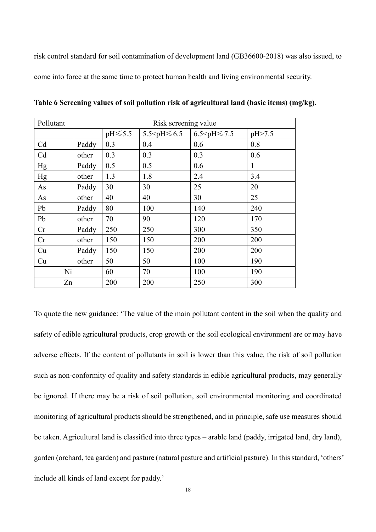risk control standard for soil contamination of development land (GB36600-2018) was also issued, to come into force at the same time to protect human health and living environmental security.

| Pollutant      | Risk screening value |     |                          |                                  |          |  |
|----------------|----------------------|-----|--------------------------|----------------------------------|----------|--|
|                |                      |     | 5.5 $\leq$ pH $\leq 6.5$ | $6.5$ <ph <math="">\leq 7.5</ph> | pH > 7.5 |  |
| C <sub>d</sub> | Paddy                | 0.3 | 0.4                      | 0.6                              | 0.8      |  |
| Cd             | other                | 0.3 | 0.3                      | 0.3                              | 0.6      |  |
| Hg             | Paddy                | 0.5 | 0.5                      | 0.6                              | 1        |  |
| Hg             | other                | 1.3 | 1.8                      | 2.4                              | 3.4      |  |
| As             | Paddy                | 30  | 30                       | 25                               | 20       |  |
| As             | other                | 40  | 40                       | 30                               | 25       |  |
| Pb             | Paddy                | 80  | 100                      | 140                              | 240      |  |
| Pb             | other                | 70  | 90                       | 120                              | 170      |  |
| Cr             | Paddy                | 250 | 250                      | 300                              | 350      |  |
| Cr             | other                | 150 | 150                      | 200                              | 200      |  |
| Cu             | Paddy                | 150 | 150                      | 200                              | 200      |  |
| Cu             | other                | 50  | 50                       | 100                              | 190      |  |
| Ni             |                      | 60  | 70                       | 100                              | 190      |  |
| Zn             |                      | 200 | 200                      | 250                              | 300      |  |

**Table 6 Screening values of soil pollution risk of agricultural land (basic items) (mg/kg).**

To quote the new guidance: 'The value of the main pollutant content in the soil when the quality and safety of edible agricultural products, crop growth or the soil ecological environment are or may have adverse effects. If the content of pollutants in soil is lower than this value, the risk of soil pollution such as non-conformity of quality and safety standards in edible agricultural products, may generally be ignored. If there may be a risk of soil pollution, soil environmental monitoring and coordinated monitoring of agricultural products should be strengthened, and in principle, safe use measures should be taken. Agricultural land is classified into three types – arable land (paddy, irrigated land, dry land), garden (orchard, tea garden) and pasture (natural pasture and artificial pasture). In this standard, 'others' include all kinds of land except for paddy.'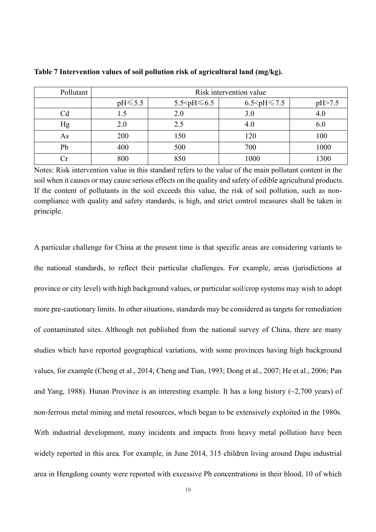| Pollutant |               | Risk intervention value  |          |      |  |  |
|-----------|---------------|--------------------------|----------|------|--|--|
|           | $pH \leq 5.5$ | 5.5 $\leq$ pH $\leq 6.5$ | pH > 7.5 |      |  |  |
| Cd        |               | 2.0                      | 3.0      | 4.0  |  |  |
| Hg        | 2.0           | 2.5                      | 4.0      | 6.0  |  |  |
| As        | 200           | 150                      | 120      | 100  |  |  |
| Pb        | 400           | 500                      | 700      | 1000 |  |  |
|           |               | 850                      | 1000     | 1300 |  |  |

**Table 7 Intervention values of soil pollution risk of agricultural land (mg/kg).**

Notes: Risk intervention value in this standard refers to the value of the main pollutant content in the soil when it causes or may cause serious effects on the quality and safety of edible agricultural products. If the content of pollutants in the soil exceeds this value, the risk of soil pollution, such as noncompliance with quality and safety standards, is high, and strict control measures shall be taken in principle.

A particular challenge for China at the present time is that specific areas are considering variants to the national standards, to reflect their particular challenges. For example, areas (jurisdictions at province or city level) with high background values, or particular soil/crop systems may wish to adopt more pre-cautionary limits. In other situations, standards may be considered as targets for remediation of contaminated sites. Although not published from the national survey of China, there are many studies which have reported geographical variations, with some provinces having high background values, for example (Cheng et al., 2014; Cheng and Tian, 1993; Dong et al., 2007; He et al., 2006; Pan and Yang, 1988). Hunan Province is an interesting example. It has a long history  $(\sim 2,700$  years) of non-ferrous metal mining and metal resources, which began to be extensively exploited in the 1980s. With industrial development, many incidents and impacts from heavy metal pollution have been widely reported in this area. For example, in June 2014, 315 children living around Dapu industrial area in Hengdong county were reported with excessive Pb concentrations in their blood, 10 of which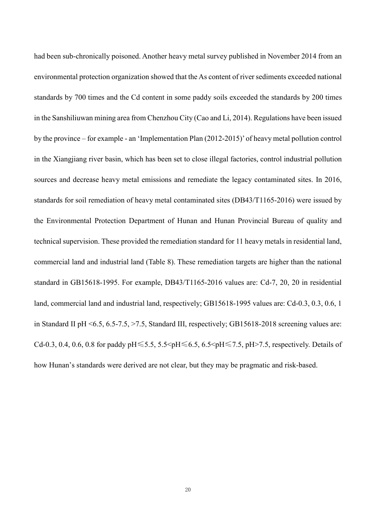had been sub-chronically poisoned. Another heavy metal survey published in November 2014 from an environmental protection organization showed that the As content of river sediments exceeded national standards by 700 times and the Cd content in some paddy soils exceeded the standards by 200 times in the Sanshiliuwan mining area from Chenzhou City (Cao and Li, 2014). Regulations have been issued by the province – for example - an 'Implementation Plan (2012-2015)' of heavy metal pollution control in the Xiangjiang river basin, which has been set to close illegal factories, control industrial pollution sources and decrease heavy metal emissions and remediate the legacy contaminated sites. In 2016, standards for soil remediation of heavy metal contaminated sites (DB43/T1165-2016) were issued by the Environmental Protection Department of Hunan and Hunan Provincial Bureau of quality and technical supervision. These provided the remediation standard for 11 heavy metals in residential land, commercial land and industrial land (Table 8). These remediation targets are higher than the national standard in GB15618-1995. For example, DB43/T1165-2016 values are: Cd-7, 20, 20 in residential land, commercial land and industrial land, respectively; GB15618-1995 values are: Cd-0.3, 0.3, 0.6, 1 in Standard II pH <6.5, 6.5-7.5, >7.5, Standard III, respectively; GB15618-2018 screening values are: Cd-0.3, 0.4, 0.6, 0.8 for paddy pH  $\leq 5.5$ , 5.5  $\leq$  pH  $\leq 6.5$ , 6.5  $\leq$  pH $\leq$  7.5, pH $>$  7.5, respectively. Details of how Hunan's standards were derived are not clear, but they may be pragmatic and risk-based.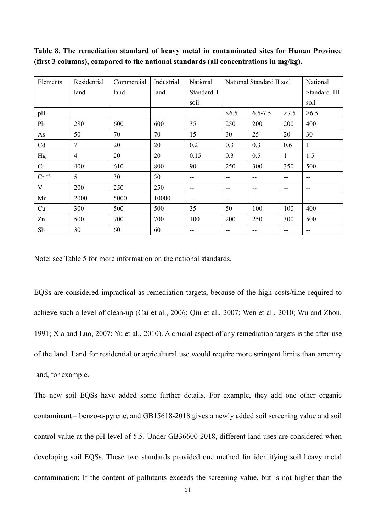**Table 8. The remediation standard of heavy metal in contaminated sites for Hunan Province (first 3 columns), compared to the national standards (all concentrations in mg/kg).** 

| Elements  | Residential | Commercial | Industrial | National   | National Standard II soil |             |      | National     |
|-----------|-------------|------------|------------|------------|---------------------------|-------------|------|--------------|
|           | land        | land       | land       | Standard I |                           |             |      | Standard III |
|           |             |            |            | soil       |                           |             |      | soil         |
| pH        |             |            |            |            | <6.5                      | $6.5 - 7.5$ | >7.5 | >6.5         |
| Pb        | 280         | 600        | 600        | 35         | 250                       | 200         | 200  | 400          |
| As        | 50          | 70         | 70         | 15         | 30                        | 25          | 20   | 30           |
| Cd        | 7           | 20         | 20         | 0.2        | 0.3                       | 0.3         | 0.6  | $\mathbf{1}$ |
| Hg        | 4           | 20         | 20         | 0.15       | 0.3                       | 0.5         | 1    | 1.5          |
| Cr        | 400         | 610        | 800        | 90         | 250                       | 300         | 350  | 500          |
| $Cr^{+6}$ | 5           | 30         | 30         | --         | --                        | --          | --   | $-$          |
| V         | 200         | 250        | 250        | --         | --                        | $-$         | --   | $-$          |
| Mn        | 2000        | 5000       | 10000      | --         | --                        | --          | --   | $-$          |
| Cu        | 300         | 500        | 500        | 35         | 50                        | 100         | 100  | 400          |
| Zn        | 500         | 700        | 700        | 100        | 200                       | 250         | 300  | 500          |
| Sb        | 30          | 60         | 60         | --         |                           | --          | --   | --           |

Note: see Table 5 for more information on the national standards.

EQSs are considered impractical as remediation targets, because of the high costs/time required to achieve such a level of clean-up (Cai et al., 2006; Qiu et al., 2007; Wen et al., 2010; Wu and Zhou, 1991; Xia and Luo, 2007; Yu et al., 2010). A crucial aspect of any remediation targets is the after-use of the land. Land for residential or agricultural use would require more stringent limits than amenity land, for example.

The new soil EQSs have added some further details. For example, they add one other organic contaminant – benzo-a-pyrene, and GB15618-2018 gives a newly added soil screening value and soil control value at the pH level of 5.5. Under GB36600-2018, different land uses are considered when developing soil EQSs. These two standards provided one method for identifying soil heavy metal contamination; If the content of pollutants exceeds the screening value, but is not higher than the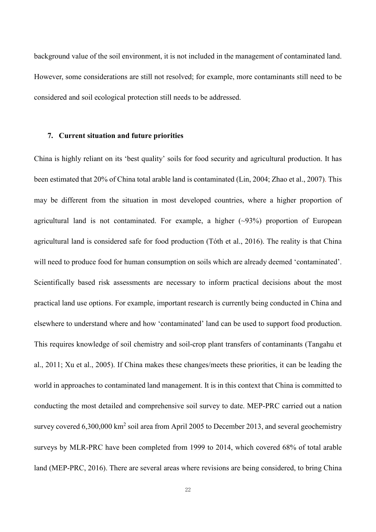background value of the soil environment, it is not included in the management of contaminated land. However, some considerations are still not resolved; for example, more contaminants still need to be considered and soil ecological protection still needs to be addressed.

# **7. Current situation and future priorities**

China is highly reliant on its 'best quality' soils for food security and agricultural production. It has been estimated that 20% of China total arable land is contaminated (Lin, 2004; Zhao et al., 2007). This may be different from the situation in most developed countries, where a higher proportion of agricultural land is not contaminated. For example, a higher  $(\sim)3\%$  proportion of European agricultural land is considered safe for food production (Tóth et al., 2016). The reality is that China will need to produce food for human consumption on soils which are already deemed 'contaminated'. Scientifically based risk assessments are necessary to inform practical decisions about the most practical land use options. For example, important research is currently being conducted in China and elsewhere to understand where and how 'contaminated' land can be used to support food production. This requires knowledge of soil chemistry and soil-crop plant transfers of contaminants (Tangahu et al., 2011; Xu et al., 2005). If China makes these changes/meets these priorities, it can be leading the world in approaches to contaminated land management. It is in this context that China is committed to conducting the most detailed and comprehensive soil survey to date. MEP-PRC carried out a nation survey covered  $6,300,000 \text{ km}^2$  soil area from April 2005 to December 2013, and several geochemistry surveys by MLR-PRC have been completed from 1999 to 2014, which covered 68% of total arable land (MEP-PRC, 2016). There are several areas where revisions are being considered, to bring China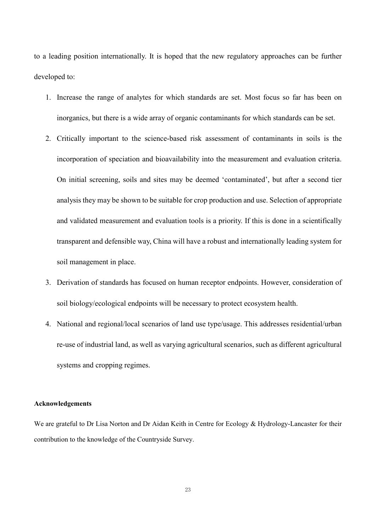to a leading position internationally. It is hoped that the new regulatory approaches can be further developed to:

- 1. Increase the range of analytes for which standards are set. Most focus so far has been on inorganics, but there is a wide array of organic contaminants for which standards can be set.
- 2. Critically important to the science-based risk assessment of contaminants in soils is the incorporation of speciation and bioavailability into the measurement and evaluation criteria. On initial screening, soils and sites may be deemed 'contaminated', but after a second tier analysis they may be shown to be suitable for crop production and use. Selection of appropriate and validated measurement and evaluation tools is a priority. If this is done in a scientifically transparent and defensible way, China will have a robust and internationally leading system for soil management in place.
- 3. Derivation of standards has focused on human receptor endpoints. However, consideration of soil biology/ecological endpoints will be necessary to protect ecosystem health.
- 4. National and regional/local scenarios of land use type/usage. This addresses residential/urban re-use of industrial land, as well as varying agricultural scenarios, such as different agricultural systems and cropping regimes.

### **Acknowledgements**

We are grateful to Dr Lisa Norton and Dr Aidan Keith in Centre for Ecology & Hydrology-Lancaster for their contribution to the knowledge of the Countryside Survey.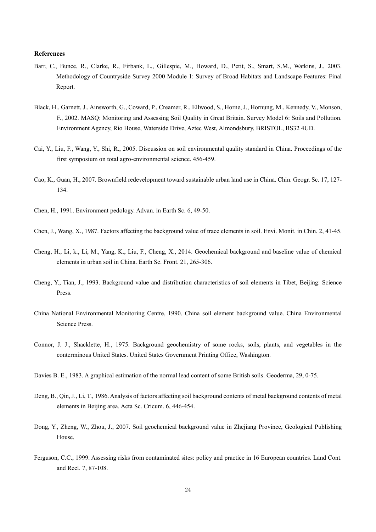#### **References**

- Barr, C., Bunce, R., Clarke, R., Firbank, L., Gillespie, M., Howard, D., Petit, S., Smart, S.M., Watkins, J., 2003. Methodology of Countryside Survey 2000 Module 1: Survey of Broad Habitats and Landscape Features: Final Report.
- Black, H., Garnett, J., Ainsworth, G., Coward, P., Creamer, R., Ellwood, S., Horne, J., Hornung, M., Kennedy, V., Monson, F., 2002. MASQ: Monitoring and Assessing Soil Quality in Great Britain. Survey Model 6: Soils and Pollution. Environment Agency, Rio House, Waterside Drive, Aztec West, Almondsbury, BRISTOL, BS32 4UD.
- Cai, Y., Liu, F., Wang, Y., Shi, R., 2005. Discussion on soil environmental quality standard in China. Proceedings of the first symposium on total agro-environmental science. 456-459.
- Cao, K., Guan, H., 2007. Brownfield redevelopment toward sustainable urban land use in China. Chin. Geogr. Sc. 17, 127- 134.
- Chen, H., 1991. Environment pedology. Advan. in Earth Sc. 6, 49-50.
- Chen, J., Wang, X., 1987. Factors affecting the background value of trace elements in soil. Envi. Monit. in Chin. 2, 41-45.
- Cheng, H., Li, k., Li, M., Yang, K., Liu, F., Cheng, X., 2014. Geochemical background and baseline value of chemical elements in urban soil in China. Earth Sc. Front. 21, 265-306.
- Cheng, Y., Tian, J., 1993. Background value and distribution characteristics of soil elements in Tibet, Beijing: Science Press.
- China National Environmental Monitoring Centre, 1990. China soil element background value. China Environmental Science Press.
- Connor, J. J., Shacklette, H., 1975. Background geochemistry of some rocks, soils, plants, and vegetables in the conterminous United States. United States Government Printing Office, Washington.
- Davies B. E., 1983. A graphical estimation of the normal lead content of some British soils. Geoderma, 29, 0-75.
- Deng, B., Qin, J., Li, T., 1986. Analysis of factors affecting soil background contents of metal background contents of metal elements in Beijing area. Acta Sc. Cricum. 6, 446-454.
- Dong, Y., Zheng, W., Zhou, J., 2007. Soil geochemical background value in Zhejiang Province, Geological Publishing House.
- Ferguson, C.C., 1999. Assessing risks from contaminated sites: policy and practice in 16 European countries. Land Cont. and Recl. 7, 87-108.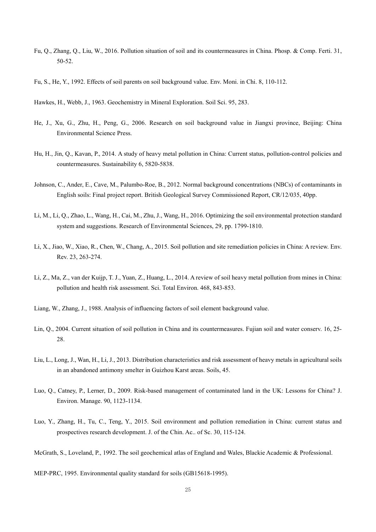- Fu, Q., Zhang, Q., Liu, W., 2016. Pollution situation of soil and its countermeasures in China. Phosp. & Comp. Ferti. 31, 50-52.
- Fu, S., He, Y., 1992. Effects of soil parents on soil background value. Env. Moni. in Chi. 8, 110-112.
- Hawkes, H., Webb, J., 1963. Geochemistry in Mineral Exploration. Soil Sci. 95, 283.
- He, J., Xu, G., Zhu, H., Peng, G., 2006. Research on soil background value in Jiangxi province, Beijing: China Environmental Science Press.
- Hu, H., Jin, Q., Kavan, P., 2014. A study of heavy metal pollution in China: Current status, pollution-control policies and countermeasures. Sustainability 6, 5820-5838.
- Johnson, C., Ander, E., Cave, M., Palumbo-Roe, B., 2012. Normal background concentrations (NBCs) of contaminants in English soils: Final project report. British Geological Survey Commissioned Report, CR/12/035, 40pp.
- Li, M., Li, Q., Zhao, L., Wang, H., Cai, M., Zhu, J., Wang, H., 2016. Optimizing the soil environmental protection standard system and suggestions. Research of Environmental Sciences, 29, pp. 1799-1810.
- Li, X., Jiao, W., Xiao, R., Chen, W., Chang, A., 2015. Soil pollution and site remediation policies in China: A review. Env. Rev. 23, 263-274.
- Li, Z., Ma, Z., van der Kuijp, T. J., Yuan, Z., Huang, L., 2014. A review of soil heavy metal pollution from mines in China: pollution and health risk assessment. Sci. Total Environ. 468, 843-853.
- Liang, W., Zhang, J., 1988. Analysis of influencing factors of soil element background value.
- Lin, Q., 2004. Current situation of soil pollution in China and its countermeasures. Fujian soil and water conserv. 16, 25- 28.
- Liu, L., Long, J., Wan, H., Li, J., 2013. Distribution characteristics and risk assessment of heavy metals in agricultural soils in an abandoned antimony smelter in Guizhou Karst areas. Soils, 45.
- Luo, Q., Catney, P., Lerner, D., 2009. Risk-based management of contaminated land in the UK: Lessons for China? J. Environ. Manage. 90, 1123-1134.
- Luo, Y., Zhang, H., Tu, C., Teng, Y., 2015. Soil environment and pollution remediation in China: current status and prospectives research development. J. of the Chin. Ac.. of Sc. 30, 115-124.

McGrath, S., Loveland, P., 1992. The soil geochemical atlas of England and Wales, Blackie Academic & Professional.

MEP-PRC, 1995. Environmental quality standard for soils (GB15618-1995).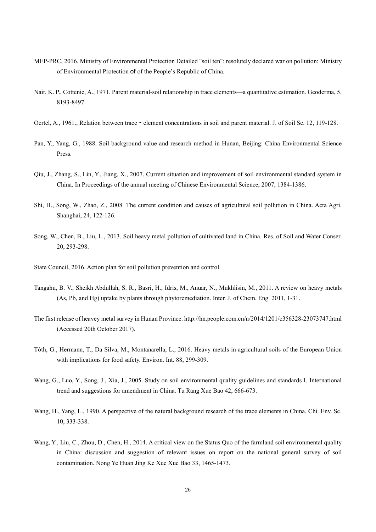- MEP-PRC, 2016. Ministry of Environmental Protection Detailed "soil ten": resolutely declared war on pollution: Ministry of Environmental Protection of of the People's Republic of China.
- Nair, K. P., Cottenie, A., 1971. Parent material-soil relationship in trace elements—a quantitative estimation. Geoderma, 5, 8193-8497.
- Oertel, A., 1961., Relation between trace element concentrations in soil and parent material. J. of Soil Sc. 12, 119-128.
- Pan, Y., Yang, G., 1988. Soil background value and research method in Hunan, Beijing: China Environmental Science Press.
- Qiu, J., Zhang, S., Lin, Y., Jiang, X., 2007. Current situation and improvement of soil environmental standard system in China. In Proceedings of the annual meeting of Chinese Environmental Science, 2007, 1384-1386.
- Shi, H., Song, W., Zhao, Z., 2008. The current condition and causes of agricultural soil pollution in China. Acta Agri. Shanghai, 24, 122-126.
- Song, W., Chen, B., Liu, L., 2013. Soil heavy metal pollution of cultivated land in China. Res. of Soil and Water Conser. 20, 293-298.
- State Council, 2016. Action plan for soil pollution prevention and control.
- Tangahu, B. V., Sheikh Abdullah, S. R., Basri, H., Idris, M., Anuar, N., Mukhlisin, M., 2011. A review on heavy metals (As, Pb, and Hg) uptake by plants through phytoremediation. Inter. J. of Chem. Eng. 2011, 1-31.
- The first release of heavey metal survey in Hunan Province. http://hn.people.com.cn/n/2014/1201/c356328-23073747.html (Accessed 20th October 2017).
- Tóth, G., Hermann, T., Da Silva, M., Montanarella, L., 2016. Heavy metals in agricultural soils of the European Union with implications for food safety. Environ. Int. 88, 299-309.
- Wang, G., Luo, Y., Song, J., Xia, J., 2005. Study on soil environmental quality guidelines and standards I. International trend and suggestions for amendment in China. Tu Rang Xue Bao 42, 666-673.
- Wang, H., Yang, L., 1990. A perspective of the natural background research of the trace elements in China. Chi. Env. Sc. 10, 333-338.
- Wang, Y., Liu, C., Zhou, D., Chen, H., 2014. A critical view on the Status Quo of the farmland soil environmental quality in China: discussion and suggestion of relevant issues on report on the national general survey of soil contamination. Nong Ye Huan Jing Ke Xue Xue Bao 33, 1465-1473.